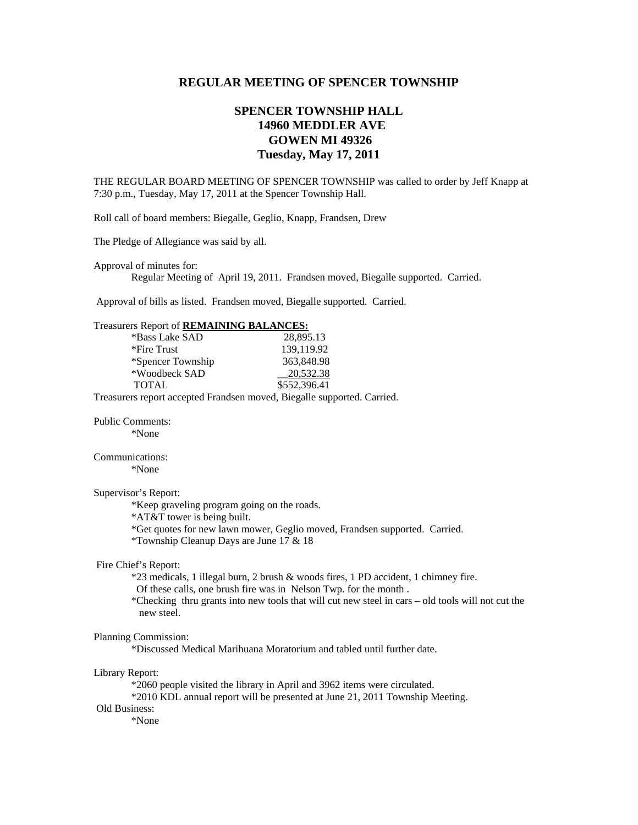# **REGULAR MEETING OF SPENCER TOWNSHIP**

# **SPENCER TOWNSHIP HALL 14960 MEDDLER AVE GOWEN MI 49326 Tuesday, May 17, 2011**

THE REGULAR BOARD MEETING OF SPENCER TOWNSHIP was called to order by Jeff Knapp at 7:30 p.m., Tuesday, May 17, 2011 at the Spencer Township Hall.

Roll call of board members: Biegalle, Geglio, Knapp, Frandsen, Drew

The Pledge of Allegiance was said by all.

Approval of minutes for:

Regular Meeting of April 19, 2011. Frandsen moved, Biegalle supported. Carried.

Approval of bills as listed. Frandsen moved, Biegalle supported. Carried.

# Treasurers Report of **REMAINING BALANCES:**

| *Bass Lake SAD    | 28,895.13    |
|-------------------|--------------|
| *Fire Trust       | 139,119.92   |
| *Spencer Township | 363,848.98   |
| *Woodbeck SAD     | 20.532.38    |
| <b>TOTAL</b>      | \$552,396.41 |
|                   |              |

Treasurers report accepted Frandsen moved, Biegalle supported. Carried.

Public Comments:

\*None

Communications:

\*None

### Supervisor's Report:

\*Keep graveling program going on the roads.

\*AT&T tower is being built.

\*Get quotes for new lawn mower, Geglio moved, Frandsen supported. Carried.

\*Township Cleanup Days are June 17 & 18

#### Fire Chief's Report:

\*23 medicals, 1 illegal burn, 2 brush & woods fires, 1 PD accident, 1 chimney fire.

Of these calls, one brush fire was in Nelson Twp. for the month .

 \*Checking thru grants into new tools that will cut new steel in cars – old tools will not cut the new steel.

#### Planning Commission:

\*Discussed Medical Marihuana Moratorium and tabled until further date.

#### Library Report:

\*2060 people visited the library in April and 3962 items were circulated.

\*2010 KDL annual report will be presented at June 21, 2011 Township Meeting.

# Old Business:

\*None